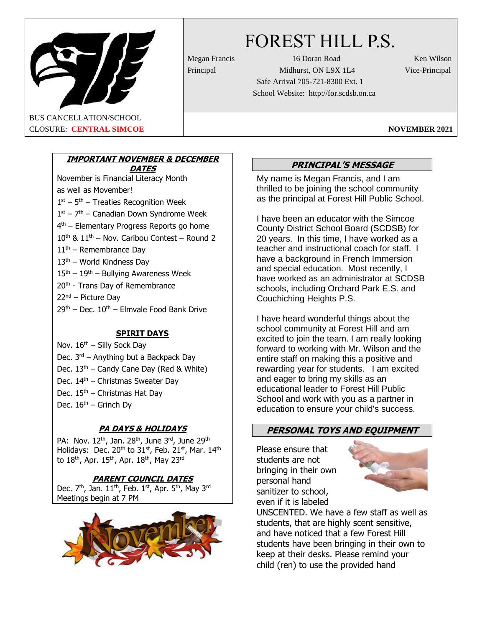

# FOREST HILL P.S.

Megan Francis 16 Doran Road Ken Wilson Principal Midhurst, ON L9X 1L4 Vice-Principal Safe Arrival 705-721-8300 Ext. 1 School Website: http://for.scdsb.on.ca

BUS CANCELLATION/SCHOOL CLOSURE: **CENTRAL SIMCOE NOVEMBER 2021**

# **IMPORTANT NOVEMBER & DECEMBER DATES**

November is Financial Literacy Month as well as Movember!  $1<sup>st</sup> - 5<sup>th</sup> -$  Treaties Recognition Week  $1<sup>st</sup> - 7<sup>th</sup> -$  Canadian Down Syndrome Week 4<sup>th</sup> – Elementary Progress Reports go home  $10^{\text{th}}$  &  $11^{\text{th}}$  – Nov. Caribou Contest – Round 2  $11<sup>th</sup>$  – Remembrance Day  $13<sup>th</sup>$  – World Kindness Day  $15<sup>th</sup> - 19<sup>th</sup> -$  Bullying Awareness Week 20<sup>th</sup> - Trans Day of Remembrance 22nd – Picture Day  $29<sup>th</sup>$  – Dec.  $10<sup>th</sup>$  – Elmvale Food Bank Drive

# **SPIRIT DAYS**

Nov.  $16<sup>th</sup>$  – Silly Sock Day Dec. 3rd – Anything but a Backpack Day Dec.  $13<sup>th</sup>$  – Candy Cane Day (Red & White) Dec. 14<sup>th</sup> – Christmas Sweater Day Dec.  $15<sup>th</sup>$  – Christmas Hat Day Dec.  $16<sup>th</sup>$  – Grinch Dy

# **PA DAYS & HOLIDAYS**

PA: Nov. 12<sup>th</sup>, Jan. 28<sup>th</sup>, June 3<sup>rd</sup>, June 29<sup>th</sup> Holidays: Dec. 20<sup>th</sup> to 31<sup>st</sup>, Feb. 21<sup>st</sup>, Mar. 14<sup>th</sup> to  $18^{\text{th}}$ , Apr.  $15^{\text{th}}$ , Apr.  $18^{\text{th}}$ , May  $23^{\text{rd}}$ 

# **PARENT COUNCIL DATES**

Dec.  $7<sup>th</sup>$ , Jan.  $11<sup>th</sup>$ , Feb.  $1<sup>st</sup>$ , Apr.  $5<sup>th</sup>$ , May 3<sup>rd</sup> Meetings begin at 7 PM



# **PRINCIPAL'S MESSAGE**

My name is Megan Francis, and I am thrilled to be joining the school community as the principal at Forest Hill Public School.

I have been an educator with the Simcoe County District School Board (SCDSB) for 20 years. In this time, I have worked as a teacher and instructional coach for staff. I have a background in French Immersion and special education. Most recently, I have worked as an administrator at SCDSB schools, including Orchard Park E.S. and Couchiching Heights P.S.

I have heard wonderful things about the school community at Forest Hill and am excited to join the team. I am really looking forward to working with Mr. Wilson and the entire staff on making this a positive and rewarding year for students. I am excited and eager to bring my skills as an educational leader to Forest Hill Public School and work with you as a partner in education to ensure your child's success.

# **PERSONAL TOYS AND EQUIPMENT**

Please ensure that students are not bringing in their own personal hand sanitizer to school, even if it is labeled



UNSCENTED. We have a few staff as well as students, that are highly scent sensitive, and have noticed that a few Forest Hill students have been bringing in their own to keep at their desks. Please remind your child (ren) to use the provided hand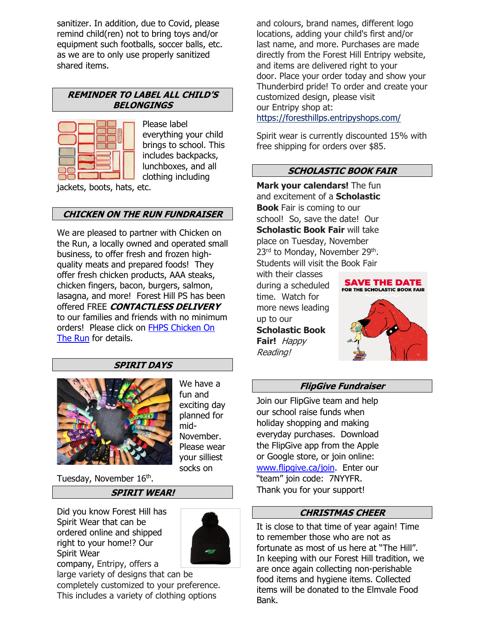sanitizer. In addition, due to Covid, please remind child(ren) not to bring toys and/or equipment such footballs, soccer balls, etc. as we are to only use properly sanitized shared items.

#### **REMINDER TO LABEL ALL CHILD'S BELONGINGS**



Please label everything your child brings to school. This includes backpacks, lunchboxes, and all clothing including

jackets, boots, hats, etc.

#### **CHICKEN ON THE RUN FUNDRAISER**

We are pleased to partner with Chicken on the Run, a locally owned and operated small business, to offer fresh and frozen highquality meats and prepared foods! They offer fresh chicken products, AAA steaks, chicken fingers, bacon, burgers, salmon, lasagna, and more! Forest Hill PS has been offered FREE **CONTACTLESS DELIVERY** to our families and friends with no minimum orders! Please click on [FHPS Chicken On](Chicken%20on%20the%20Run%202021.pdf)  [The Run](Chicken%20on%20the%20Run%202021.pdf) for details.

#### **SPIRIT DAYS**



We have a fun and exciting day planned for mid-November. Please wear your silliest socks on

Tuesday, November 16<sup>th</sup>.

#### **SPIRIT WEAR!**

Did you know Forest Hill has Spirit Wear that can be ordered online and shipped right to your home!? Our Spirit Wear



company, Entripy, offers a large variety of designs that can be

completely customized to your preference. This includes a variety of clothing options

and colours, brand names, different logo locations, adding your child's first and/or last name, and more. Purchases are made directly from the Forest Hill Entripy website, and items are delivered right to your door. Place your order today and show your Thunderbird pride! To order and create your customized design, please visit our Entripy shop at: [https://foresthillps.entripyshops.com/](http://track.spe.schoolmessenger.com/f/a/FTUP15ostcRXY-BFpQQGjA~~/AAAAAQA~/RgRgoCiyP0QmaHR0cHM6Ly9mb3Jlc3RoaWxscHMuZW50cmlweXNob3BzLmNvbS9XB3NjaG9vbG1CCgBGMvW-Xrd2A9BSE2NuaWNrZWxAc2Nkc2Iub24uY2FYBAAAAAI~)

Spirit wear is currently discounted 15% with free shipping for orders over \$85.

#### **SCHOLASTIC BOOK FAIR**

**Mark your calendars!** The fun and excitement of a **Scholastic Book** Fair is coming to our school! So, save the date! Our **Scholastic Book Fair** will take place on Tuesday, November 23<sup>rd</sup> to Monday, November 29<sup>th</sup>. Students will visit the Book Fair

with their classes during a scheduled time. Watch for more news leading up to our **Scholastic Book Fair!** Happy Reading!



#### **FlipGive Fundraiser**

Join our FlipGive team and help our school raise funds when holiday shopping and making everyday purchases. Download the FlipGive app from the Apple or Google store, or join online: [www.flipgive.ca/join.](http://www.flipgive.ca/join) Enter our "team" join code: 7NYYFR. Thank you for your support!

#### **CHRISTMAS CHEER**

It is close to that time of year again! Time to remember those who are not as fortunate as most of us here at "The Hill". In keeping with our Forest Hill tradition, we are once again collecting non-perishable food items and hygiene items. Collected items will be donated to the Elmvale Food Bank.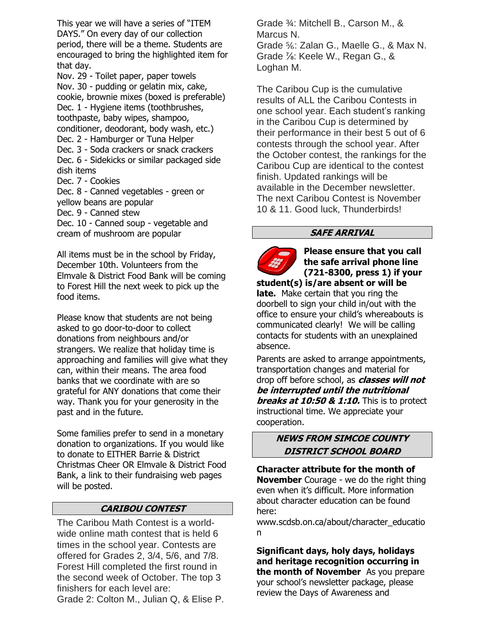This year we will have a series of "ITEM DAYS." On every day of our collection period, there will be a theme. Students are encouraged to bring the highlighted item for that day.

Nov. 29 - Toilet paper, paper towels Nov. 30 - pudding or gelatin mix, cake, cookie, brownie mixes (boxed is preferable) Dec. 1 - Hygiene items (toothbrushes, toothpaste, baby wipes, shampoo, conditioner, deodorant, body wash, etc.) Dec. 2 - Hamburger or Tuna Helper Dec. 3 - Soda crackers or snack crackers Dec. 6 - Sidekicks or similar packaged side dish items Dec. 7 - Cookies Dec. 8 - Canned vegetables - green or yellow beans are popular

Dec. 9 - Canned stew

Dec. 10 - Canned soup - vegetable and cream of mushroom are popular

All items must be in the school by Friday, December 10th. Volunteers from the Elmvale & District Food Bank will be coming to Forest Hill the next week to pick up the food items.

Please know that students are not being asked to go door-to-door to collect donations from neighbours and/or strangers. We realize that holiday time is approaching and families will give what they can, within their means. The area food banks that we coordinate with are so grateful for ANY donations that come their way. Thank you for your generosity in the past and in the future.

Some families prefer to send in a monetary donation to organizations. If you would like to donate to EITHER Barrie & District Christmas Cheer OR Elmvale & District Food Bank, a link to their fundraising web pages will be posted.

#### **CARIBOU CONTEST**

The Caribou Math Contest is a worldwide online math contest that is held 6 times in the school year. Contests are offered for Grades 2, 3/4, 5/6, and 7/8. Forest Hill completed the first round in the second week of October. The top 3 finishers for each level are:

Grade 2: Colton M., Julian Q, & Elise P.

Grade ¾: Mitchell B., Carson M., & Marcus N. Grade ⅚: Zalan G., Maelle G., & Max N. Grade ⅞: Keele W., Regan G., & Loghan M.

The Caribou Cup is the cumulative results of ALL the Caribou Contests in one school year. Each student's ranking in the Caribou Cup is determined by their performance in their best 5 out of 6 contests through the school year. After the October contest, the rankings for the Caribou Cup are identical to the contest finish. Updated rankings will be available in the December newsletter. The next Caribou Contest is November 10 & 11. Good luck, Thunderbirds!

#### **SAFE ARRIVAL**



**Please ensure that you call the safe arrival phone line (721-8300, press 1) if your** 

**student(s) is/are absent or will be late.** Make certain that you ring the doorbell to sign your child in/out with the office to ensure your child's whereabouts is communicated clearly! We will be calling contacts for students with an unexplained absence.

Parents are asked to arrange appointments, transportation changes and material for drop off before school, as **classes will not be interrupted until the nutritional breaks at 10:50 & 1:10.** This is to protect instructional time. We appreciate your cooperation.

#### **NEWS FROM SIMCOE COUNTY DISTRICT SCHOOL BOARD**

**Character attribute for the month of November** Courage - we do the right thing even when it's difficult. More information about character education can be found here:

www.scdsb.on.ca/about/character\_educatio n

**Significant days, holy days, holidays and heritage recognition occurring in the month of November** As you prepare your school's newsletter package, please review the Days of Awareness and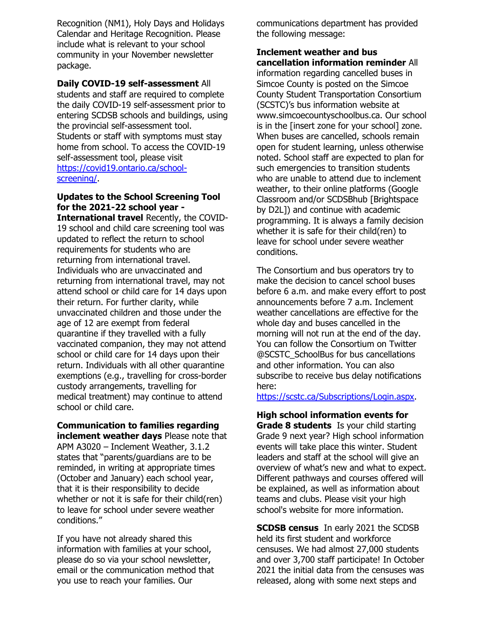Recognition (NM1), Holy Days and Holidays Calendar and Heritage Recognition. Please include what is relevant to your school community in your November newsletter package.

#### **Daily COVID-19 self-assessment** All

students and staff are required to complete the daily COVID-19 self-assessment prior to entering SCDSB schools and buildings, using the provincial self-assessment tool. Students or staff with symptoms must stay home from school. To access the COVID-19 self-assessment tool, please visit [https://covid19.ontario.ca/school](https://covid19.ontario.ca/school-screening/)[screening/.](https://covid19.ontario.ca/school-screening/)

#### **Updates to the School Screening Tool for the 2021-22 school year -**

**International travel** Recently, the COVID-19 school and child care screening tool was updated to reflect the return to school requirements for students who are returning from international travel. Individuals who are unvaccinated and returning from international travel, may not attend school or child care for 14 days upon their return. For further clarity, while unvaccinated children and those under the age of 12 are exempt from federal quarantine if they travelled with a fully vaccinated companion, they may not attend school or child care for 14 days upon their return. Individuals with all other quarantine exemptions (e.g., travelling for cross-border custody arrangements, travelling for medical treatment) may continue to attend school or child care.

#### **Communication to families regarding inclement weather days** Please note that

APM A3020 – Inclement Weather, 3.1.2 states that "parents/guardians are to be reminded, in writing at appropriate times (October and January) each school year, that it is their responsibility to decide whether or not it is safe for their child(ren) to leave for school under severe weather conditions."

If you have not already shared this information with families at your school, please do so via your school newsletter, email or the communication method that you use to reach your families. Our

communications department has provided the following message:

#### **Inclement weather and bus cancellation information reminder** All

information regarding cancelled buses in Simcoe County is posted on the Simcoe County Student Transportation Consortium (SCSTC)'s bus information website at www.simcoecountyschoolbus.ca. Our school is in the [insert zone for your school] zone. When buses are cancelled, schools remain open for student learning, unless otherwise noted. School staff are expected to plan for such emergencies to transition students who are unable to attend due to inclement weather, to their online platforms (Google Classroom and/or SCDSBhub [Brightspace by D2L]) and continue with academic programming. It is always a family decision whether it is safe for their child(ren) to leave for school under severe weather conditions.

The Consortium and bus operators try to make the decision to cancel school buses before 6 a.m. and make every effort to post announcements before 7 a.m. Inclement weather cancellations are effective for the whole day and buses cancelled in the morning will not run at the end of the day. You can follow the Consortium on Twitter @SCSTC\_SchoolBus for bus cancellations and other information. You can also subscribe to receive bus delay notifications here:

[https://scstc.ca/Subscriptions/Login.aspx.](https://scstc.ca/Subscriptions/Login.aspx)

**High school information events for Grade 8 students** Is your child starting Grade 9 next year? High school information events will take place this winter. Student leaders and staff at the school will give an overview of what's new and what to expect. Different pathways and courses offered will be explained, as well as information about teams and clubs. Please visit your high school's website for more information.

**SCDSB census** In early 2021 the SCDSB held its first student and workforce censuses. We had almost 27,000 students and over 3,700 staff participate! In October 2021 the initial data from the censuses was released, along with some next steps and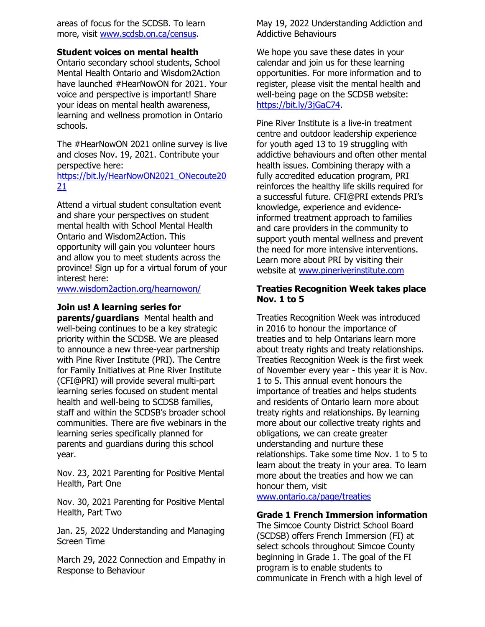areas of focus for the SCDSB. To learn more, visit [www.scdsb.on.ca/census.](http://www.scdsb.on.ca/census)

#### **Student voices on mental health**

Ontario secondary school students, School Mental Health Ontario and Wisdom2Action have launched #HearNowON for 2021. Your voice and perspective is important! Share your ideas on mental health awareness, learning and wellness promotion in Ontario schools.

The #HearNowON 2021 online survey is live and closes Nov. 19, 2021. Contribute your perspective here:

[https://bit.ly/HearNowON2021\\_ONecoute20](https://bit.ly/HearNowON2021_ONecoute2021) [21](https://bit.ly/HearNowON2021_ONecoute2021)

Attend a virtual student consultation event and share your perspectives on student mental health with School Mental Health Ontario and Wisdom2Action. This opportunity will gain you volunteer hours and allow you to meet students across the province! Sign up for a virtual forum of your interest here:

[www.wisdom2action.org/hearnowon/](http://www.wisdom2action.org/hearnowon/)

#### **Join us! A learning series for**

**parents/guardians** Mental health and well-being continues to be a key strategic priority within the SCDSB. We are pleased to announce a new three-year partnership with Pine River Institute (PRI). The Centre for Family Initiatives at Pine River Institute (CFI@PRI) will provide several multi-part learning series focused on student mental health and well-being to SCDSB families, staff and within the SCDSB's broader school communities. There are five webinars in the learning series specifically planned for parents and guardians during this school year.

Nov. 23, 2021 Parenting for Positive Mental Health, Part One

Nov. 30, 2021 Parenting for Positive Mental Health, Part Two

Jan. 25, 2022 Understanding and Managing Screen Time

March 29, 2022 Connection and Empathy in Response to Behaviour

May 19, 2022 Understanding Addiction and Addictive Behaviours

We hope you save these dates in your calendar and join us for these learning opportunities. For more information and to register, please visit the mental health and well-being page on the SCDSB website: [https://bit.ly/3jGaC74.](https://bit.ly/3jGaC74)

Pine River Institute is a live-in treatment centre and outdoor leadership experience for youth aged 13 to 19 struggling with addictive behaviours and often other mental health issues. Combining therapy with a fully accredited education program, PRI reinforces the healthy life skills required for a successful future. CFI@PRI extends PRI's knowledge, experience and evidenceinformed treatment approach to families and care providers in the community to support youth mental wellness and prevent the need for more intensive interventions. Learn more about PRI by visiting their website at [www.pineriverinstitute.com](http://www.pineriverinstitute.com/)

#### **Treaties Recognition Week takes place Nov. 1 to 5**

Treaties Recognition Week was introduced in 2016 to honour the importance of treaties and to help Ontarians learn more about treaty rights and treaty relationships. Treaties Recognition Week is the first week of November every year - this year it is Nov. 1 to 5. This annual event honours the importance of treaties and helps students and residents of Ontario learn more about treaty rights and relationships. By learning more about our collective treaty rights and obligations, we can create greater understanding and nurture these relationships. Take some time Nov. 1 to 5 to learn about the treaty in your area. To learn more about the treaties and how we can honour them, visit

[www.ontario.ca/page/treaties](http://www.ontario.ca/page/treaties)

#### **Grade 1 French Immersion information**

The Simcoe County District School Board (SCDSB) offers French Immersion (FI) at select schools throughout Simcoe County beginning in Grade 1. The goal of the FI program is to enable students to communicate in French with a high level of